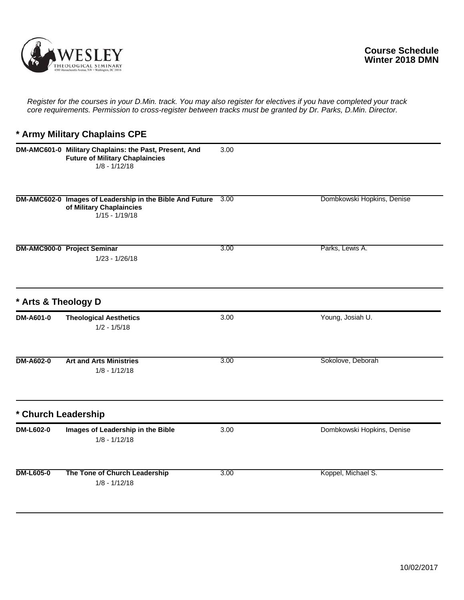

## **\* Army Military Chaplains CPE**

|                     | DM-AMC601-0 Military Chaplains: the Past, Present, And<br><b>Future of Military Chaplaincies</b><br>$1/8 - 1/12/18$ | 3.00 |                            |
|---------------------|---------------------------------------------------------------------------------------------------------------------|------|----------------------------|
|                     | DM-AMC602-0 Images of Leadership in the Bible And Future<br>of Military Chaplaincies<br>$1/15 - 1/19/18$            | 3.00 | Dombkowski Hopkins, Denise |
|                     | <b>DM-AMC900-0 Project Seminar</b><br>$1/23 - 1/26/18$                                                              | 3.00 | Parks, Lewis A.            |
| * Arts & Theology D |                                                                                                                     |      |                            |
| DM-A601-0           | <b>Theological Aesthetics</b><br>$1/2 - 1/5/18$                                                                     | 3.00 | Young, Josiah U.           |
| <b>DM-A602-0</b>    | <b>Art and Arts Ministries</b><br>$1/8 - 1/12/18$                                                                   | 3.00 | Sokolove, Deborah          |
| * Church Leadership |                                                                                                                     |      |                            |
| DM-L602-0           | Images of Leadership in the Bible<br>$1/8 - 1/12/18$                                                                | 3.00 | Dombkowski Hopkins, Denise |
| <b>DM-L605-0</b>    | The Tone of Church Leadership<br>$1/8 - 1/12/18$                                                                    | 3.00 | Koppel, Michael S.         |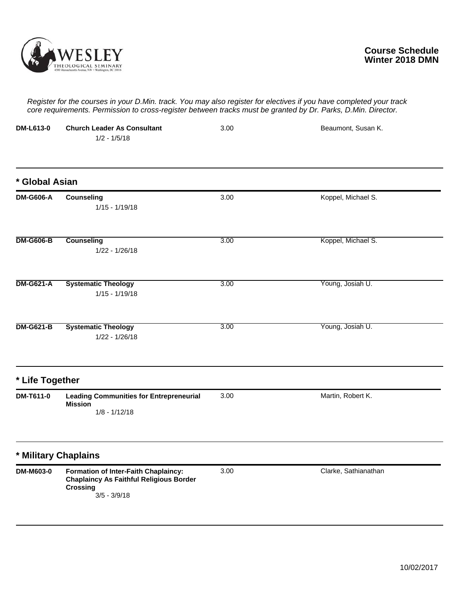

| <b>DM-L613-0</b> | <b>Church Leader As Consultant</b><br>$1/2 - 1/5/18$                                                                        | 3.00 | Beaumont, Susan K.   |
|------------------|-----------------------------------------------------------------------------------------------------------------------------|------|----------------------|
| * Global Asian   |                                                                                                                             |      |                      |
| <b>DM-G606-A</b> | <b>Counseling</b><br>$1/15 - 1/19/18$                                                                                       | 3.00 | Koppel, Michael S.   |
| <b>DM-G606-B</b> | <b>Counseling</b><br>$1/22 - 1/26/18$                                                                                       | 3.00 | Koppel, Michael S.   |
| <b>DM-G621-A</b> | <b>Systematic Theology</b><br>$1/15 - 1/19/18$                                                                              | 3.00 | Young, Josiah U.     |
| <b>DM-G621-B</b> | <b>Systematic Theology</b><br>$1/22 - 1/26/18$                                                                              | 3.00 | Young, Josiah U.     |
| * Life Together  |                                                                                                                             |      |                      |
| DM-T611-0        | <b>Leading Communities for Entrepreneurial</b><br><b>Mission</b><br>$1/8 - 1/12/18$                                         | 3.00 | Martin, Robert K.    |
|                  | * Military Chaplains                                                                                                        |      |                      |
| <b>DM-M603-0</b> | Formation of Inter-Faith Chaplaincy:<br><b>Chaplaincy As Faithful Religious Border</b><br><b>Crossing</b><br>$3/5 - 3/9/18$ | 3.00 | Clarke, Sathianathan |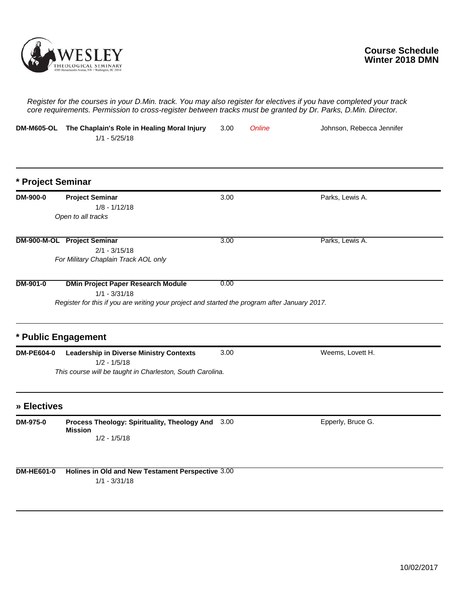

| <b>DM-M605-OL</b> | The Chaplain's Role in Healing Moral Injury<br>$1/1 - 5/25/18$                                                                                                | 3.00 | Online | Johnson, Rebecca Jennifer |
|-------------------|---------------------------------------------------------------------------------------------------------------------------------------------------------------|------|--------|---------------------------|
| * Project Seminar |                                                                                                                                                               |      |        |                           |
| DM-900-0          | <b>Project Seminar</b><br>$1/8 - 1/12/18$<br>Open to all tracks                                                                                               | 3.00 |        | Parks, Lewis A.           |
|                   | DM-900-M-OL Project Seminar<br>$2/1 - 3/15/18$<br>For Military Chaplain Track AOL only                                                                        | 3.00 |        | Parks, Lewis A.           |
| DM-901-0          | <b>DMin Project Paper Research Module</b><br>$1/1 - 3/31/18$<br>Register for this if you are writing your project and started the program after January 2017. | 0.00 |        |                           |
|                   | * Public Engagement                                                                                                                                           |      |        |                           |
| <b>DM-PE604-0</b> | <b>Leadership in Diverse Ministry Contexts</b><br>$1/2 - 1/5/18$<br>This course will be taught in Charleston, South Carolina.                                 | 3.00 |        | Weems, Lovett H.          |
| » Electives       |                                                                                                                                                               |      |        |                           |
| DM-975-0          | Process Theology: Spirituality, Theology And 3.00<br><b>Mission</b><br>$1/2 - 1/5/18$                                                                         |      |        | Epperly, Bruce G.         |
| <b>DM-HE601-0</b> | Holines in Old and New Testament Perspective 3.00<br>$1/1 - 3/31/18$                                                                                          |      |        |                           |